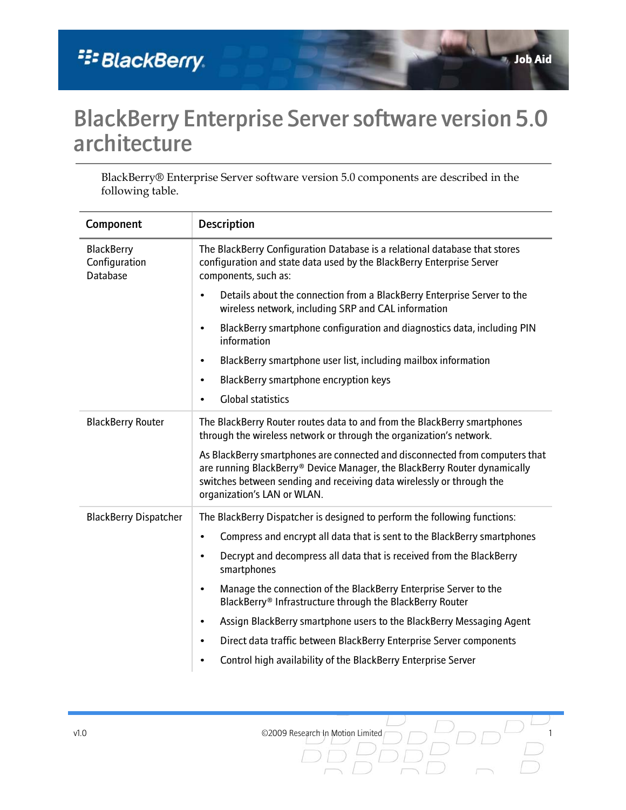## BlackBerry Enterprise Server software version 5.0 architecture

BlackBerry® Enterprise Server software version 5.0 components are described in the following table.

| Component                                      | <b>Description</b>                                                                                                                                                                                                                                                |
|------------------------------------------------|-------------------------------------------------------------------------------------------------------------------------------------------------------------------------------------------------------------------------------------------------------------------|
| <b>BlackBerry</b><br>Configuration<br>Database | The BlackBerry Configuration Database is a relational database that stores<br>configuration and state data used by the BlackBerry Enterprise Server<br>components, such as:                                                                                       |
|                                                | Details about the connection from a BlackBerry Enterprise Server to the<br>$\bullet$<br>wireless network, including SRP and CAL information                                                                                                                       |
|                                                | BlackBerry smartphone configuration and diagnostics data, including PIN<br>$\bullet$<br>information                                                                                                                                                               |
|                                                | BlackBerry smartphone user list, including mailbox information<br>$\bullet$                                                                                                                                                                                       |
|                                                | BlackBerry smartphone encryption keys<br>$\bullet$                                                                                                                                                                                                                |
|                                                | <b>Global statistics</b><br>٠                                                                                                                                                                                                                                     |
| <b>BlackBerry Router</b>                       | The BlackBerry Router routes data to and from the BlackBerry smartphones<br>through the wireless network or through the organization's network.                                                                                                                   |
|                                                | As BlackBerry smartphones are connected and disconnected from computers that<br>are running BlackBerry® Device Manager, the BlackBerry Router dynamically<br>switches between sending and receiving data wirelessly or through the<br>organization's LAN or WLAN. |
| <b>BlackBerry Dispatcher</b>                   | The BlackBerry Dispatcher is designed to perform the following functions:                                                                                                                                                                                         |
|                                                | Compress and encrypt all data that is sent to the BlackBerry smartphones<br>$\bullet$                                                                                                                                                                             |
|                                                | Decrypt and decompress all data that is received from the BlackBerry<br>$\bullet$<br>smartphones                                                                                                                                                                  |
|                                                | Manage the connection of the BlackBerry Enterprise Server to the<br>٠<br>BlackBerry® Infrastructure through the BlackBerry Router                                                                                                                                 |
|                                                | Assign BlackBerry smartphone users to the BlackBerry Messaging Agent<br>$\bullet$                                                                                                                                                                                 |
|                                                | Direct data traffic between BlackBerry Enterprise Server components<br>٠                                                                                                                                                                                          |
|                                                | Control high availability of the BlackBerry Enterprise Server<br>$\bullet$                                                                                                                                                                                        |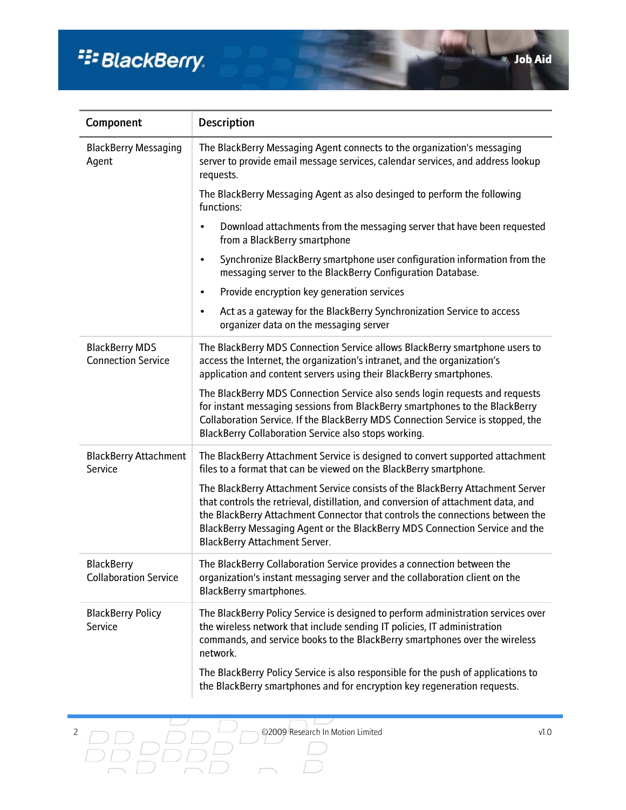# <sup>22</sup>BlackBerry.

| Component                                          | <b>Description</b>                                                                                                                                                                                                                                                                                                                                                   |
|----------------------------------------------------|----------------------------------------------------------------------------------------------------------------------------------------------------------------------------------------------------------------------------------------------------------------------------------------------------------------------------------------------------------------------|
| <b>BlackBerry Messaging</b><br>Agent               | The BlackBerry Messaging Agent connects to the organization's messaging<br>server to provide email message services, calendar services, and address lookup<br>requests.                                                                                                                                                                                              |
|                                                    | The BlackBerry Messaging Agent as also desinged to perform the following<br>functions:                                                                                                                                                                                                                                                                               |
|                                                    | Download attachments from the messaging server that have been requested<br>from a BlackBerry smartphone                                                                                                                                                                                                                                                              |
|                                                    | Synchronize BlackBerry smartphone user configuration information from the<br>messaging server to the BlackBerry Configuration Database.                                                                                                                                                                                                                              |
|                                                    | Provide encryption key generation services<br>٠                                                                                                                                                                                                                                                                                                                      |
|                                                    | Act as a gateway for the BlackBerry Synchronization Service to access<br>$\bullet$<br>organizer data on the messaging server                                                                                                                                                                                                                                         |
| <b>BlackBerry MDS</b><br><b>Connection Service</b> | The BlackBerry MDS Connection Service allows BlackBerry smartphone users to<br>access the Internet, the organization's intranet, and the organization's<br>application and content servers using their BlackBerry smartphones.                                                                                                                                       |
|                                                    | The BlackBerry MDS Connection Service also sends login requests and requests<br>for instant messaging sessions from BlackBerry smartphones to the BlackBerry<br>Collaboration Service. If the BlackBerry MDS Connection Service is stopped, the<br>BlackBerry Collaboration Service also stops working.                                                              |
| <b>BlackBerry Attachment</b><br>Service            | The BlackBerry Attachment Service is designed to convert supported attachment<br>files to a format that can be viewed on the BlackBerry smartphone.                                                                                                                                                                                                                  |
|                                                    | The BlackBerry Attachment Service consists of the BlackBerry Attachment Server<br>that controls the retrieval, distillation, and conversion of attachment data, and<br>the BlackBerry Attachment Connector that controls the connections between the<br>BlackBerry Messaging Agent or the BlackBerry MDS Connection Service and the<br>BlackBerry Attachment Server. |
| <b>BlackBerry</b><br><b>Collaboration Service</b>  | The BlackBerry Collaboration Service provides a connection between the<br>organization's instant messaging server and the collaboration client on the<br><b>BlackBerry smartphones.</b>                                                                                                                                                                              |
| <b>BlackBerry Policy</b><br>Service                | The BlackBerry Policy Service is designed to perform administration services over<br>the wireless network that include sending IT policies, IT administration<br>commands, and service books to the BlackBerry smartphones over the wireless<br>network.                                                                                                             |
|                                                    | The BlackBerry Policy Service is also responsible for the push of applications to<br>the BlackBerry smartphones and for encryption key regeneration requests.                                                                                                                                                                                                        |

 $\overline{\phantom{a}}$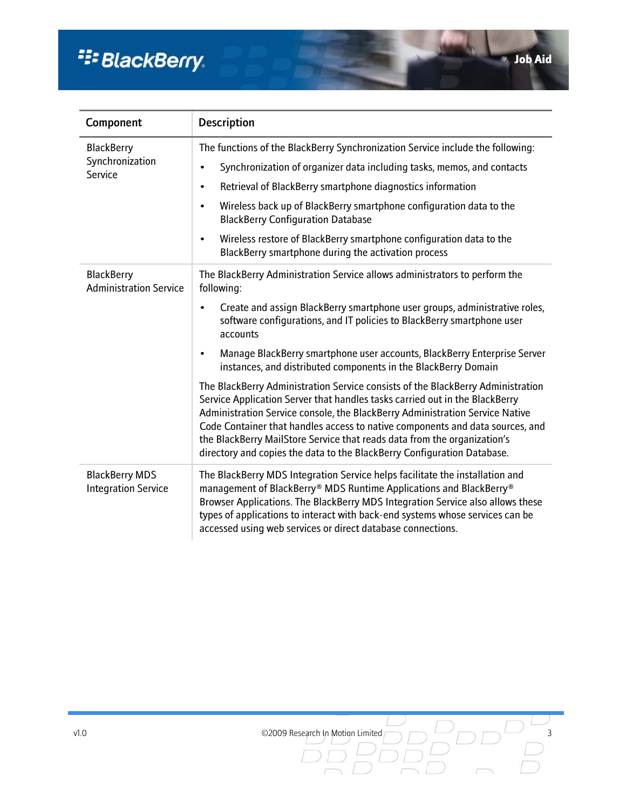# <sup>22</sup>BlackBerry.

 $\cup$ 

| Component                                           | <b>Description</b>                                                                                                                                                                                                                                                                                                                                                                                                                                                                     |
|-----------------------------------------------------|----------------------------------------------------------------------------------------------------------------------------------------------------------------------------------------------------------------------------------------------------------------------------------------------------------------------------------------------------------------------------------------------------------------------------------------------------------------------------------------|
| <b>BlackBerry</b><br>Synchronization<br>Service     | The functions of the BlackBerry Synchronization Service include the following:                                                                                                                                                                                                                                                                                                                                                                                                         |
|                                                     | Synchronization of organizer data including tasks, memos, and contacts<br>$\bullet$                                                                                                                                                                                                                                                                                                                                                                                                    |
|                                                     | Retrieval of BlackBerry smartphone diagnostics information<br>$\bullet$                                                                                                                                                                                                                                                                                                                                                                                                                |
|                                                     | Wireless back up of BlackBerry smartphone configuration data to the<br>$\bullet$<br><b>BlackBerry Configuration Database</b>                                                                                                                                                                                                                                                                                                                                                           |
|                                                     | Wireless restore of BlackBerry smartphone configuration data to the<br>$\bullet$<br>BlackBerry smartphone during the activation process                                                                                                                                                                                                                                                                                                                                                |
| <b>BlackBerry</b><br><b>Administration Service</b>  | The BlackBerry Administration Service allows administrators to perform the<br>following:                                                                                                                                                                                                                                                                                                                                                                                               |
|                                                     | Create and assign BlackBerry smartphone user groups, administrative roles,<br>$\bullet$<br>software configurations, and IT policies to BlackBerry smartphone user<br>accounts                                                                                                                                                                                                                                                                                                          |
|                                                     | Manage BlackBerry smartphone user accounts, BlackBerry Enterprise Server<br>$\bullet$<br>instances, and distributed components in the BlackBerry Domain                                                                                                                                                                                                                                                                                                                                |
|                                                     | The BlackBerry Administration Service consists of the BlackBerry Administration<br>Service Application Server that handles tasks carried out in the BlackBerry<br>Administration Service console, the BlackBerry Administration Service Native<br>Code Container that handles access to native components and data sources, and<br>the BlackBerry MailStore Service that reads data from the organization's<br>directory and copies the data to the BlackBerry Configuration Database. |
| <b>BlackBerry MDS</b><br><b>Integration Service</b> | The BlackBerry MDS Integration Service helps facilitate the installation and<br>management of BlackBerry® MDS Runtime Applications and BlackBerry®<br>Browser Applications. The BlackBerry MDS Integration Service also allows these<br>types of applications to interact with back-end systems whose services can be<br>accessed using web services or direct database connections.                                                                                                   |

v1.0 ©2009 Research In Motion Limited  $\Box$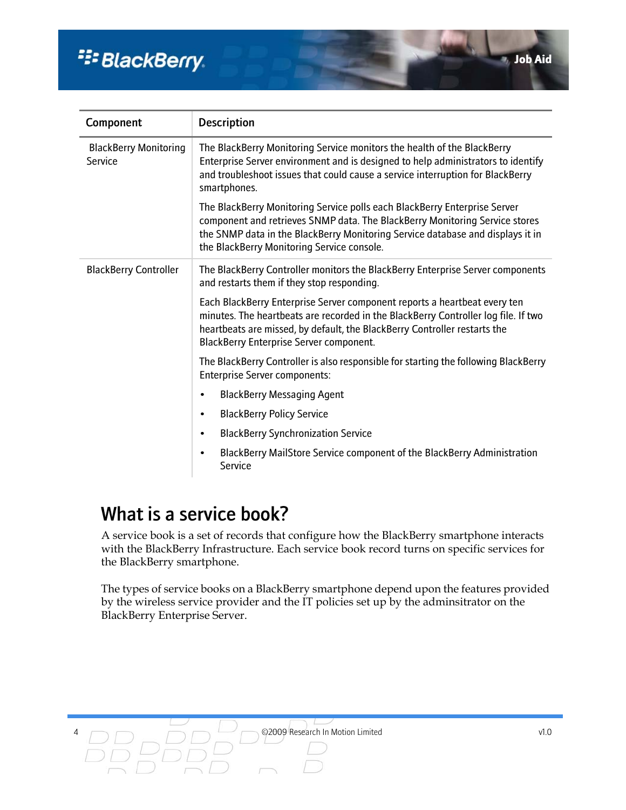# <sup>22</sup> BlackBerry.

| Component                               | <b>Description</b>                                                                                                                                                                                                                                                                       |
|-----------------------------------------|------------------------------------------------------------------------------------------------------------------------------------------------------------------------------------------------------------------------------------------------------------------------------------------|
| <b>BlackBerry Monitoring</b><br>Service | The BlackBerry Monitoring Service monitors the health of the BlackBerry<br>Enterprise Server environment and is designed to help administrators to identify<br>and troubleshoot issues that could cause a service interruption for BlackBerry<br>smartphones.                            |
|                                         | The BlackBerry Monitoring Service polls each BlackBerry Enterprise Server<br>component and retrieves SNMP data. The BlackBerry Monitoring Service stores<br>the SNMP data in the BlackBerry Monitoring Service database and displays it in<br>the BlackBerry Monitoring Service console. |
| <b>BlackBerry Controller</b>            | The BlackBerry Controller monitors the BlackBerry Enterprise Server components<br>and restarts them if they stop responding.                                                                                                                                                             |
|                                         | Each BlackBerry Enterprise Server component reports a heartbeat every ten<br>minutes. The heartbeats are recorded in the BlackBerry Controller log file. If two<br>heartbeats are missed, by default, the BlackBerry Controller restarts the<br>BlackBerry Enterprise Server component.  |
|                                         | The BlackBerry Controller is also responsible for starting the following BlackBerry<br><b>Enterprise Server components:</b>                                                                                                                                                              |
|                                         | <b>BlackBerry Messaging Agent</b><br>٠                                                                                                                                                                                                                                                   |
|                                         | <b>BlackBerry Policy Service</b><br>$\bullet$                                                                                                                                                                                                                                            |
|                                         | <b>BlackBerry Synchronization Service</b><br>$\bullet$                                                                                                                                                                                                                                   |
|                                         | BlackBerry MailStore Service component of the BlackBerry Administration<br>Service                                                                                                                                                                                                       |

### What is a service book?

A service book is a set of records that configure how the BlackBerry smartphone interacts with the BlackBerry Infrastructure. Each service book record turns on specific services for the BlackBerry smartphone.

The types of service books on a BlackBerry smartphone depend upon the features provided by the wireless service provider and the IT policies set up by the adminsitrator on the BlackBerry Enterprise Server.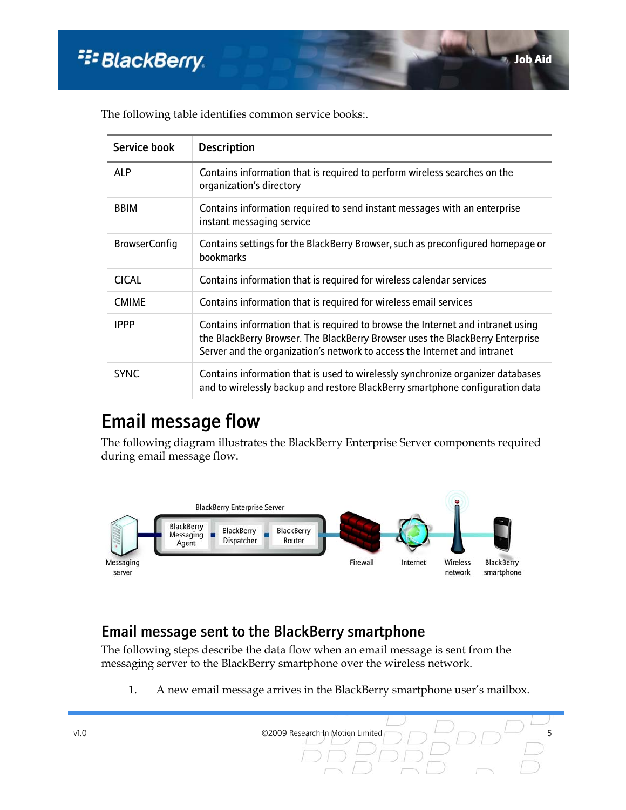| Service book         | <b>Description</b>                                                                                                                                                                                                                            |
|----------------------|-----------------------------------------------------------------------------------------------------------------------------------------------------------------------------------------------------------------------------------------------|
| <b>ALP</b>           | Contains information that is required to perform wireless searches on the<br>organization's directory                                                                                                                                         |
| <b>BBIM</b>          | Contains information required to send instant messages with an enterprise<br>instant messaging service                                                                                                                                        |
| <b>BrowserConfig</b> | Contains settings for the BlackBerry Browser, such as preconfigured homepage or<br>bookmarks                                                                                                                                                  |
| <b>CICAL</b>         | Contains information that is required for wireless calendar services                                                                                                                                                                          |
| <b>CMIME</b>         | Contains information that is required for wireless email services                                                                                                                                                                             |
| <b>IPPP</b>          | Contains information that is required to browse the Internet and intranet using<br>the BlackBerry Browser. The BlackBerry Browser uses the BlackBerry Enterprise<br>Server and the organization's network to access the Internet and intranet |
| <b>SYNC</b>          | Contains information that is used to wirelessly synchronize organizer databases<br>and to wirelessly backup and restore BlackBerry smartphone configuration data                                                                              |

The following table identifies common service books:.

### Email message flow

The following diagram illustrates the BlackBerry Enterprise Server components required during email message flow.



### Email message sent to the BlackBerry smartphone

The following steps describe the data flow when an email message is sent from the messaging server to the BlackBerry smartphone over the wireless network.

1. A new email message arrives in the BlackBerry smartphone user's mailbox.

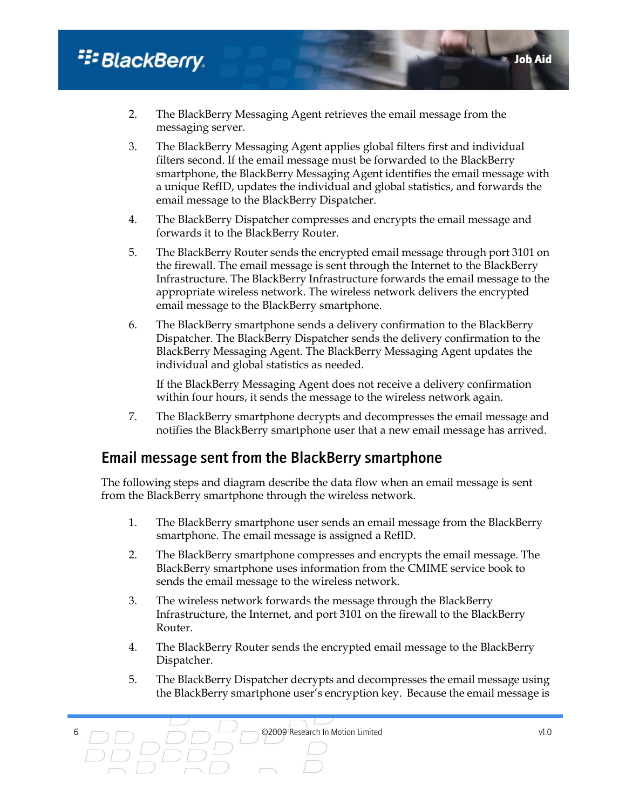### <sup>22</sup> BlackBerry.

- 2. The BlackBerry Messaging Agent retrieves the email message from the messaging server.
- 3. The BlackBerry Messaging Agent applies global filters first and individual filters second. If the email message must be forwarded to the BlackBerry smartphone, the BlackBerry Messaging Agent identifies the email message with a unique RefID, updates the individual and global statistics, and forwards the email message to the BlackBerry Dispatcher.
- 4. The BlackBerry Dispatcher compresses and encrypts the email message and forwards it to the BlackBerry Router.
- 5. The BlackBerry Router sends the encrypted email message through port 3101 on the firewall. The email message is sent through the Internet to the BlackBerry Infrastructure. The BlackBerry Infrastructure forwards the email message to the appropriate wireless network. The wireless network delivers the encrypted email message to the BlackBerry smartphone.
- 6. The BlackBerry smartphone sends a delivery confirmation to the BlackBerry Dispatcher. The BlackBerry Dispatcher sends the delivery confirmation to the BlackBerry Messaging Agent. The BlackBerry Messaging Agent updates the individual and global statistics as needed.

If the BlackBerry Messaging Agent does not receive a delivery confirmation within four hours, it sends the message to the wireless network again.

7. The BlackBerry smartphone decrypts and decompresses the email message and notifies the BlackBerry smartphone user that a new email message has arrived.

#### Email message sent from the BlackBerry smartphone

The following steps and diagram describe the data flow when an email message is sent from the BlackBerry smartphone through the wireless network.

- 1. The BlackBerry smartphone user sends an email message from the BlackBerry smartphone. The email message is assigned a RefID.
- 2. The BlackBerry smartphone compresses and encrypts the email message. The BlackBerry smartphone uses information from the CMIME service book to sends the email message to the wireless network.
- 3. The wireless network forwards the message through the BlackBerry Infrastructure, the Internet, and port 3101 on the firewall to the BlackBerry Router.
- 4. The BlackBerry Router sends the encrypted email message to the BlackBerry Dispatcher.
- 5. The BlackBerry Dispatcher decrypts and decompresses the email message using the BlackBerry smartphone user's encryption key. Because the email message is

Job Aid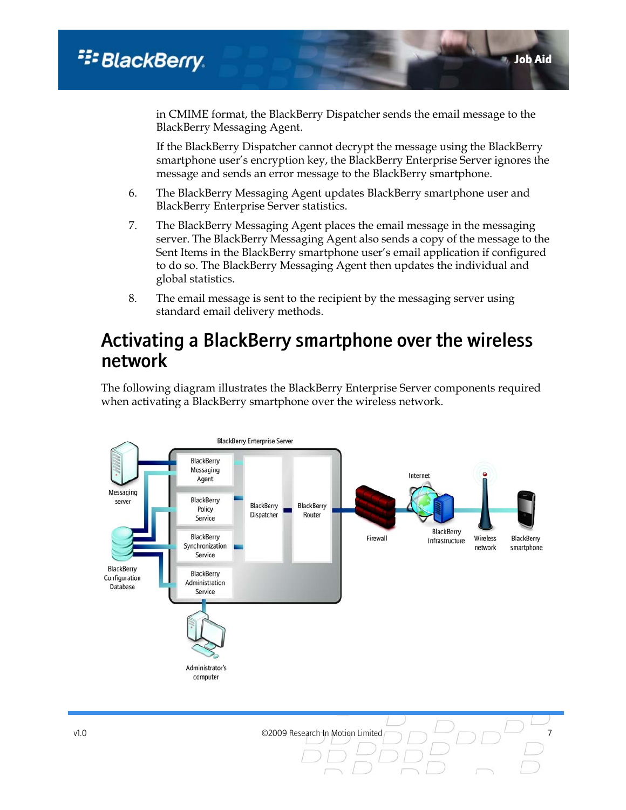in CMIME format, the BlackBerry Dispatcher sends the email message to the BlackBerry Messaging Agent.

If the BlackBerry Dispatcher cannot decrypt the message using the BlackBerry smartphone user's encryption key, the BlackBerry Enterprise Server ignores the message and sends an error message to the BlackBerry smartphone.

- 6. The BlackBerry Messaging Agent updates BlackBerry smartphone user and BlackBerry Enterprise Server statistics.
- 7. The BlackBerry Messaging Agent places the email message in the messaging server. The BlackBerry Messaging Agent also sends a copy of the message to the Sent Items in the BlackBerry smartphone user's email application if configured to do so. The BlackBerry Messaging Agent then updates the individual and global statistics.
- 8. The email message is sent to the recipient by the messaging server using standard email delivery methods.

### Activating a BlackBerry smartphone over the wireless network

The following diagram illustrates the BlackBerry Enterprise Server components required when activating a BlackBerry smartphone over the wireless network.

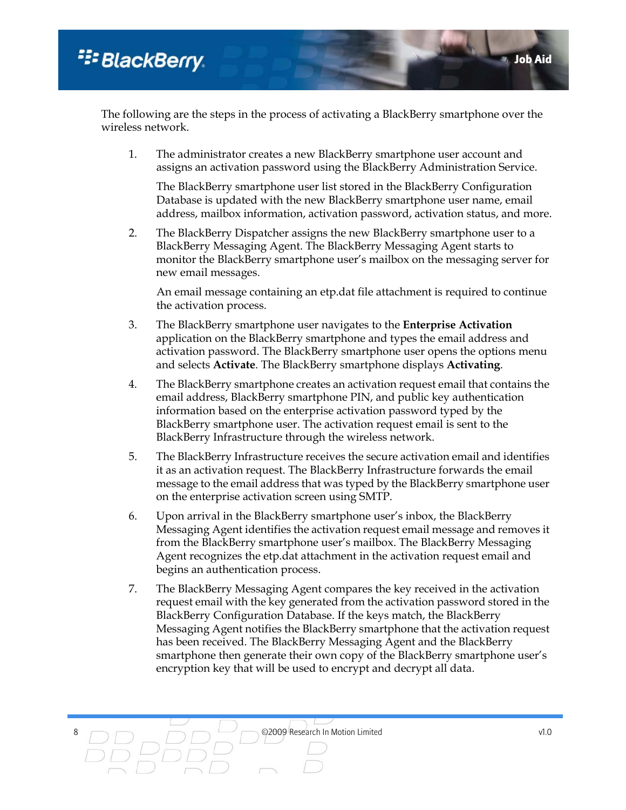The following are the steps in the process of activating a BlackBerry smartphone over the wireless network.

1. The administrator creates a new BlackBerry smartphone user account and assigns an activation password using the BlackBerry Administration Service.

The BlackBerry smartphone user list stored in the BlackBerry Configuration Database is updated with the new BlackBerry smartphone user name, email address, mailbox information, activation password, activation status, and more.

2. The BlackBerry Dispatcher assigns the new BlackBerry smartphone user to a BlackBerry Messaging Agent. The BlackBerry Messaging Agent starts to monitor the BlackBerry smartphone user's mailbox on the messaging server for new email messages.

An email message containing an etp.dat file attachment is required to continue the activation process.

- 3. The BlackBerry smartphone user navigates to the **Enterprise Activation** application on the BlackBerry smartphone and types the email address and activation password. The BlackBerry smartphone user opens the options menu and selects **Activate**. The BlackBerry smartphone displays **Activating**.
- 4. The BlackBerry smartphone creates an activation request email that contains the email address, BlackBerry smartphone PIN, and public key authentication information based on the enterprise activation password typed by the BlackBerry smartphone user. The activation request email is sent to the BlackBerry Infrastructure through the wireless network.
- 5. The BlackBerry Infrastructure receives the secure activation email and identifies it as an activation request. The BlackBerry Infrastructure forwards the email message to the email address that was typed by the BlackBerry smartphone user on the enterprise activation screen using SMTP.
- 6. Upon arrival in the BlackBerry smartphone user's inbox, the BlackBerry Messaging Agent identifies the activation request email message and removes it from the BlackBerry smartphone user's mailbox. The BlackBerry Messaging Agent recognizes the etp.dat attachment in the activation request email and begins an authentication process.
- 7. The BlackBerry Messaging Agent compares the key received in the activation request email with the key generated from the activation password stored in the BlackBerry Configuration Database. If the keys match, the BlackBerry Messaging Agent notifies the BlackBerry smartphone that the activation request has been received. The BlackBerry Messaging Agent and the BlackBerry smartphone then generate their own copy of the BlackBerry smartphone user's encryption key that will be used to encrypt and decrypt all data.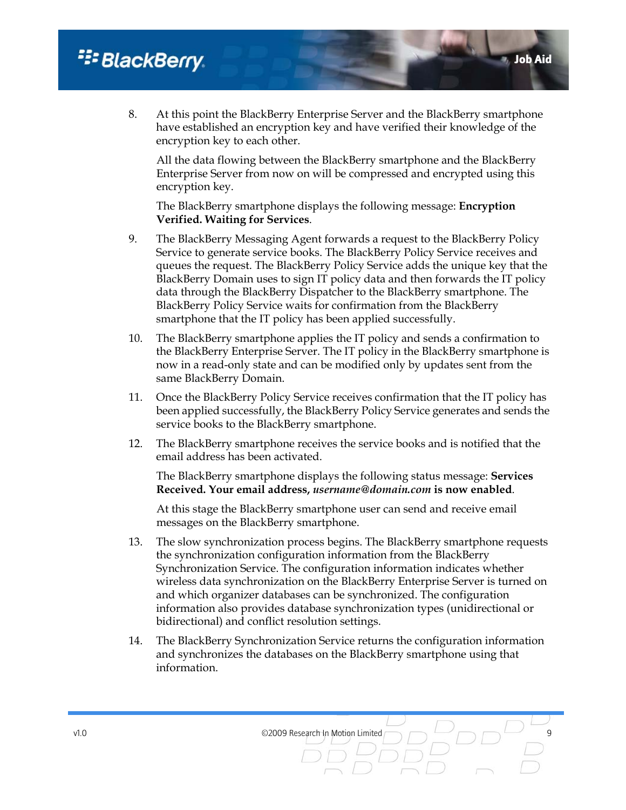### <sup>22</sup> BlackBerry.

8. At this point the BlackBerry Enterprise Server and the BlackBerry smartphone have established an encryption key and have verified their knowledge of the encryption key to each other.

Job Aid

All the data flowing between the BlackBerry smartphone and the BlackBerry Enterprise Server from now on will be compressed and encrypted using this encryption key.

The BlackBerry smartphone displays the following message: **Encryption Verified. Waiting for Services**.

- 9. The BlackBerry Messaging Agent forwards a request to the BlackBerry Policy Service to generate service books. The BlackBerry Policy Service receives and queues the request. The BlackBerry Policy Service adds the unique key that the BlackBerry Domain uses to sign IT policy data and then forwards the IT policy data through the BlackBerry Dispatcher to the BlackBerry smartphone. The BlackBerry Policy Service waits for confirmation from the BlackBerry smartphone that the IT policy has been applied successfully.
- 10. The BlackBerry smartphone applies the IT policy and sends a confirmation to the BlackBerry Enterprise Server. The IT policy in the BlackBerry smartphone is now in a read-only state and can be modified only by updates sent from the same BlackBerry Domain.
- 11. Once the BlackBerry Policy Service receives confirmation that the IT policy has been applied successfully, the BlackBerry Policy Service generates and sends the service books to the BlackBerry smartphone.
- 12. The BlackBerry smartphone receives the service books and is notified that the email address has been activated.

The BlackBerry smartphone displays the following status message: **Services Received. Your email address,** *username@domain.com* **is now enabled**.

At this stage the BlackBerry smartphone user can send and receive email messages on the BlackBerry smartphone.

- 13. The slow synchronization process begins. The BlackBerry smartphone requests the synchronization configuration information from the BlackBerry Synchronization Service. The configuration information indicates whether wireless data synchronization on the BlackBerry Enterprise Server is turned on and which organizer databases can be synchronized. The configuration information also provides database synchronization types (unidirectional or bidirectional) and conflict resolution settings.
- 14. The BlackBerry Synchronization Service returns the configuration information and synchronizes the databases on the BlackBerry smartphone using that information.